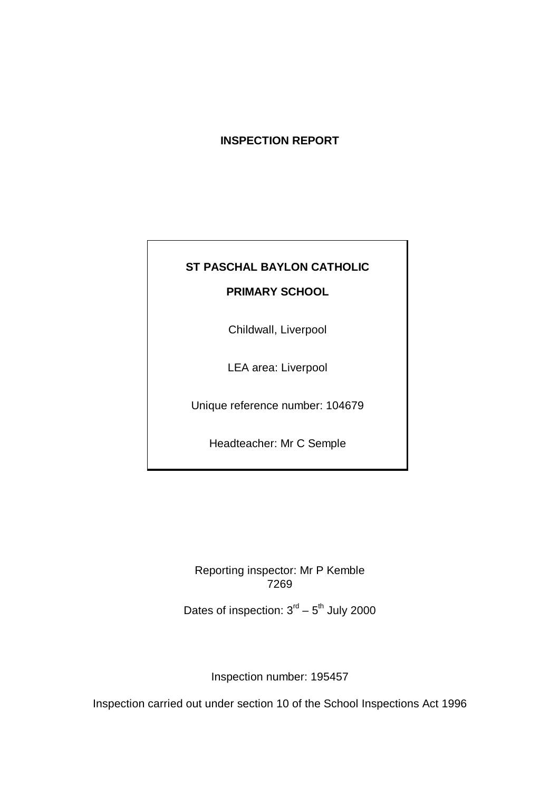## **INSPECTION REPORT**

# **ST PASCHAL BAYLON CATHOLIC**

## **PRIMARY SCHOOL**

Childwall, Liverpool

LEA area: Liverpool

Unique reference number: 104679

Headteacher: Mr C Semple

Reporting inspector: Mr P Kemble 7269

Dates of inspection:  $3<sup>rd</sup> - 5<sup>th</sup>$  July 2000

Inspection number: 195457

Inspection carried out under section 10 of the School Inspections Act 1996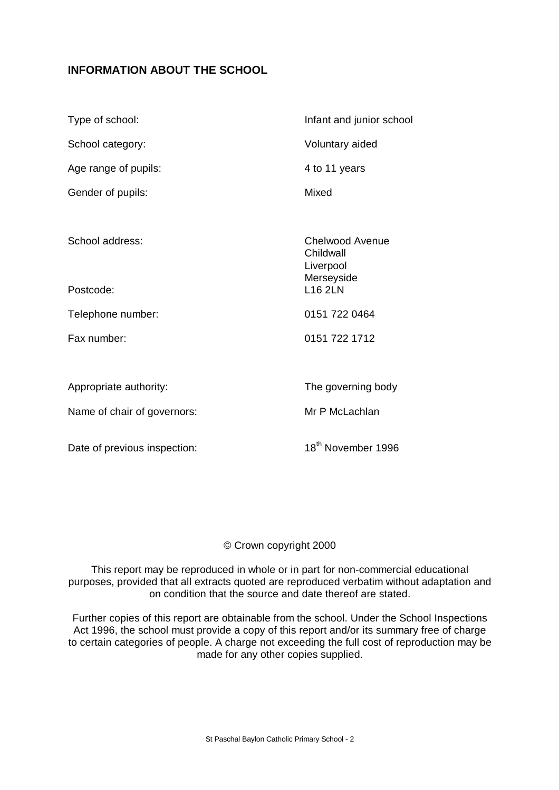## **INFORMATION ABOUT THE SCHOOL**

| Type of school:              | Infant and junior school                                |  |  |
|------------------------------|---------------------------------------------------------|--|--|
| School category:             | Voluntary aided                                         |  |  |
| Age range of pupils:         | 4 to 11 years                                           |  |  |
| Gender of pupils:            | Mixed                                                   |  |  |
|                              |                                                         |  |  |
| School address:              | Chelwood Avenue<br>Childwall<br>Liverpool<br>Merseyside |  |  |
| Postcode:                    | <b>L16 2LN</b>                                          |  |  |
| Telephone number:            | 0151 722 0464                                           |  |  |
| Fax number:                  | 0151 722 1712                                           |  |  |
|                              |                                                         |  |  |
| Appropriate authority:       | The governing body                                      |  |  |
| Name of chair of governors:  | Mr P McLachlan                                          |  |  |
| Date of previous inspection: | 18 <sup>th</sup> November 1996                          |  |  |

## © Crown copyright 2000

This report may be reproduced in whole or in part for non-commercial educational purposes, provided that all extracts quoted are reproduced verbatim without adaptation and on condition that the source and date thereof are stated.

Further copies of this report are obtainable from the school. Under the School Inspections Act 1996, the school must provide a copy of this report and/or its summary free of charge to certain categories of people. A charge not exceeding the full cost of reproduction may be made for any other copies supplied.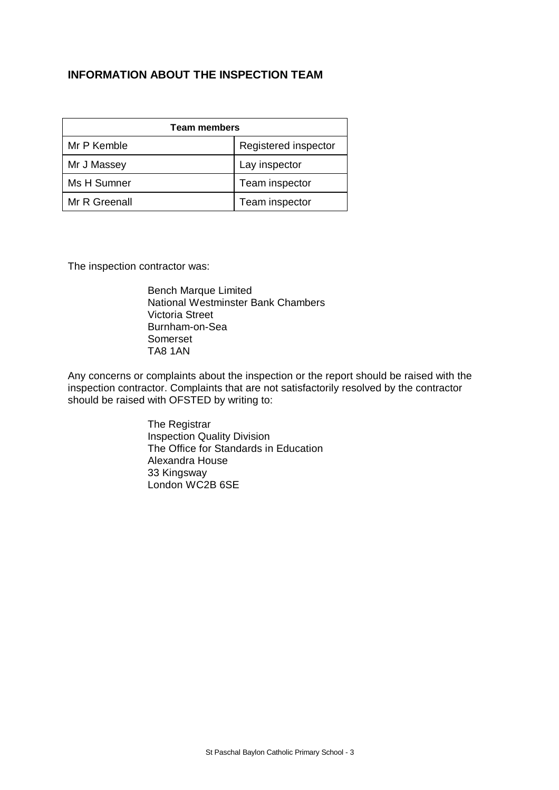## **INFORMATION ABOUT THE INSPECTION TEAM**

| <b>Team members</b> |                      |  |  |  |
|---------------------|----------------------|--|--|--|
| Mr P Kemble         | Registered inspector |  |  |  |
| Mr J Massey         | Lay inspector        |  |  |  |
| Ms H Sumner         | Team inspector       |  |  |  |
| Mr R Greenall       | Team inspector       |  |  |  |

The inspection contractor was:

Bench Marque Limited National Westminster Bank Chambers Victoria Street Burnham-on-Sea Somerset TA8 1AN

Any concerns or complaints about the inspection or the report should be raised with the inspection contractor. Complaints that are not satisfactorily resolved by the contractor should be raised with OFSTED by writing to:

> The Registrar Inspection Quality Division The Office for Standards in Education Alexandra House 33 Kingsway London WC2B 6SE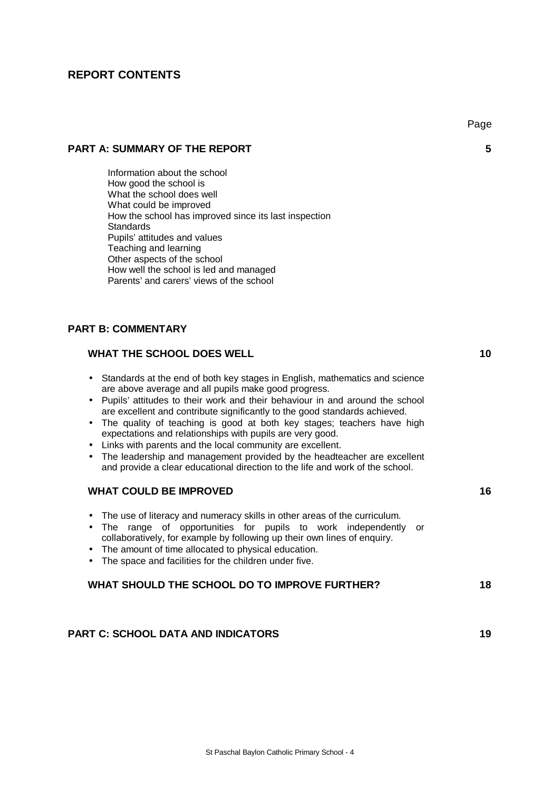### **REPORT CONTENTS**

Information about the school How good the school is What the school does well What could be improved How the school has improved since its last inspection **Standards** Pupils' attitudes and values Teaching and learning Other aspects of the school How well the school is led and managed Parents' and carers' views of the school

### **PART B: COMMENTARY**

| <b>WHAT THE SCHOOL DOES WELL</b>                                                                                                                                                                                                                                                                                                                                                                                                                                                                                                                                                                                                                                  | 10 |
|-------------------------------------------------------------------------------------------------------------------------------------------------------------------------------------------------------------------------------------------------------------------------------------------------------------------------------------------------------------------------------------------------------------------------------------------------------------------------------------------------------------------------------------------------------------------------------------------------------------------------------------------------------------------|----|
| Standards at the end of both key stages in English, mathematics and science<br>are above average and all pupils make good progress.<br>Pupils' attitudes to their work and their behaviour in and around the school<br>are excellent and contribute significantly to the good standards achieved.<br>The quality of teaching is good at both key stages; teachers have high<br>expectations and relationships with pupils are very good.<br>Links with parents and the local community are excellent.<br>The leadership and management provided by the headteacher are excellent<br>and provide a clear educational direction to the life and work of the school. |    |
| <b>WHAT COULD BE IMPROVED</b>                                                                                                                                                                                                                                                                                                                                                                                                                                                                                                                                                                                                                                     | 16 |
| The use of literacy and numeracy skills in other areas of the curriculum.<br>$\bullet$<br>range of opportunities for pupils to work independently or<br>The l<br>$\bullet$<br>collaboratively, for example by following up their own lines of enquiry.<br>The amount of time allocated to physical education.<br>The space and facilities for the children under five.                                                                                                                                                                                                                                                                                            |    |
| WHAT SHOULD THE SCHOOL DO TO IMPROVE FURTHER?                                                                                                                                                                                                                                                                                                                                                                                                                                                                                                                                                                                                                     | 18 |
|                                                                                                                                                                                                                                                                                                                                                                                                                                                                                                                                                                                                                                                                   |    |
| <b>PART C: SCHOOL DATA AND INDICATORS</b>                                                                                                                                                                                                                                                                                                                                                                                                                                                                                                                                                                                                                         | 19 |

## **PART A: SUMMARY OF THE REPORT 6 PART A: SUMMARY OF THE REPORT 6**

Page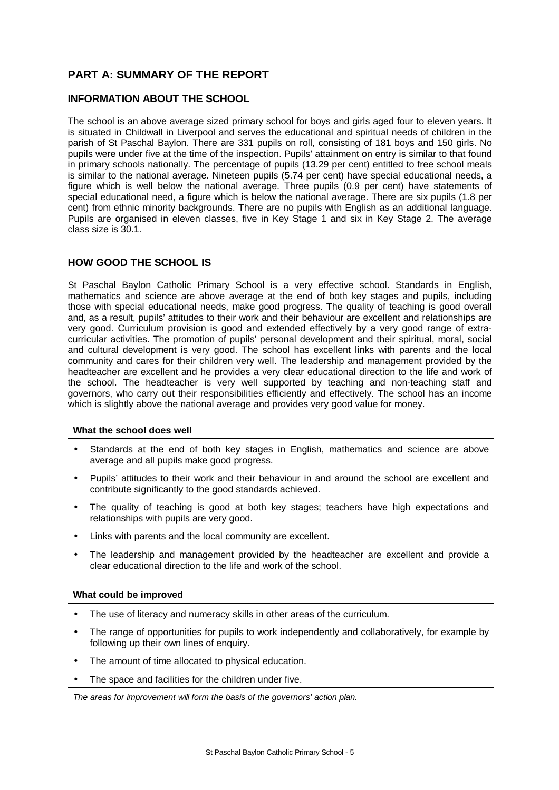## **PART A: SUMMARY OF THE REPORT**

#### **INFORMATION ABOUT THE SCHOOL**

The school is an above average sized primary school for boys and girls aged four to eleven years. It is situated in Childwall in Liverpool and serves the educational and spiritual needs of children in the parish of St Paschal Baylon. There are 331 pupils on roll, consisting of 181 boys and 150 girls. No pupils were under five at the time of the inspection. Pupils' attainment on entry is similar to that found in primary schools nationally. The percentage of pupils (13.29 per cent) entitled to free school meals is similar to the national average. Nineteen pupils (5.74 per cent) have special educational needs, a figure which is well below the national average. Three pupils (0.9 per cent) have statements of special educational need, a figure which is below the national average. There are six pupils (1.8 per cent) from ethnic minority backgrounds. There are no pupils with English as an additional language. Pupils are organised in eleven classes, five in Key Stage 1 and six in Key Stage 2. The average class size is 30.1.

#### **HOW GOOD THE SCHOOL IS**

St Paschal Baylon Catholic Primary School is a very effective school. Standards in English, mathematics and science are above average at the end of both key stages and pupils, including those with special educational needs, make good progress. The quality of teaching is good overall and, as a result, pupils' attitudes to their work and their behaviour are excellent and relationships are very good. Curriculum provision is good and extended effectively by a very good range of extracurricular activities. The promotion of pupils' personal development and their spiritual, moral, social and cultural development is very good. The school has excellent links with parents and the local community and cares for their children very well. The leadership and management provided by the headteacher are excellent and he provides a very clear educational direction to the life and work of the school. The headteacher is very well supported by teaching and non-teaching staff and governors, who carry out their responsibilities efficiently and effectively. The school has an income which is slightly above the national average and provides very good value for money.

#### **What the school does well**

- Standards at the end of both key stages in English, mathematics and science are above average and all pupils make good progress.
- Pupils' attitudes to their work and their behaviour in and around the school are excellent and contribute significantly to the good standards achieved.
- The quality of teaching is good at both key stages; teachers have high expectations and relationships with pupils are very good.
- Links with parents and the local community are excellent.
- The leadership and management provided by the headteacher are excellent and provide a clear educational direction to the life and work of the school.

#### **What could be improved**

- The use of literacy and numeracy skills in other areas of the curriculum.
- The range of opportunities for pupils to work independently and collaboratively, for example by following up their own lines of enquiry.
- The amount of time allocated to physical education.
- The space and facilities for the children under five.

*The areas for improvement will form the basis of the governors' action plan.*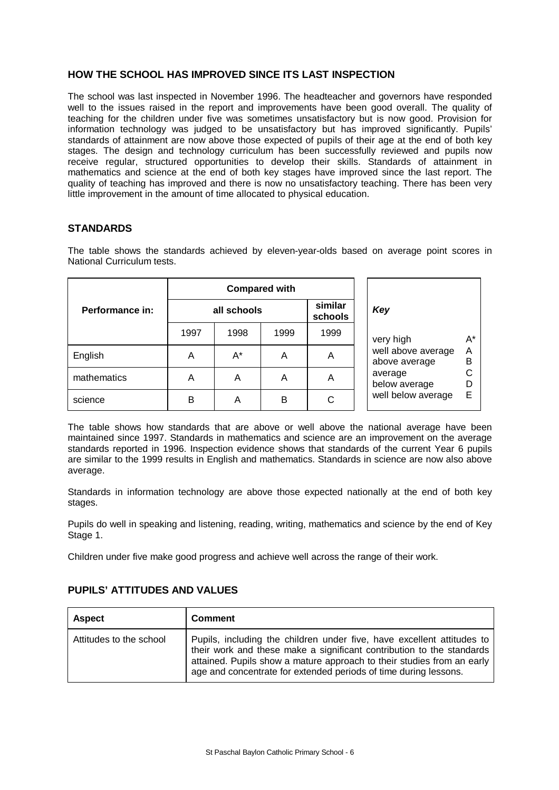#### **HOW THE SCHOOL HAS IMPROVED SINCE ITS LAST INSPECTION**

The school was last inspected in November 1996. The headteacher and governors have responded well to the issues raised in the report and improvements have been good overall. The quality of teaching for the children under five was sometimes unsatisfactory but is now good. Provision for information technology was judged to be unsatisfactory but has improved significantly. Pupils' standards of attainment are now above those expected of pupils of their age at the end of both key stages. The design and technology curriculum has been successfully reviewed and pupils now receive regular, structured opportunities to develop their skills. Standards of attainment in mathematics and science at the end of both key stages have improved since the last report. The quality of teaching has improved and there is now no unsatisfactory teaching. There has been very little improvement in the amount of time allocated to physical education.

#### **STANDARDS**

The table shows the standards achieved by eleven-year-olds based on average point scores in National Curriculum tests.

|                 |             | <b>Compared with</b> |      |                    |                                     |        |  |
|-----------------|-------------|----------------------|------|--------------------|-------------------------------------|--------|--|
| Performance in: | all schools |                      |      | similar<br>schools | Key                                 |        |  |
|                 | 1997        | 1998                 | 1999 | 1999               | very high                           | A*     |  |
| English         | Α           | A*                   | A    | A                  | well above average<br>above average | Α<br>B |  |
| mathematics     | Α           | A                    | A    | Α                  | average<br>below average            |        |  |
| science         | в           | A                    | в    | C                  | well below average                  |        |  |

The table shows how standards that are above or well above the national average have been maintained since 1997. Standards in mathematics and science are an improvement on the average standards reported in 1996. Inspection evidence shows that standards of the current Year 6 pupils are similar to the 1999 results in English and mathematics. Standards in science are now also above average.

Standards in information technology are above those expected nationally at the end of both key stages.

Pupils do well in speaking and listening, reading, writing, mathematics and science by the end of Key Stage 1.

Children under five make good progress and achieve well across the range of their work.

| <b>Aspect</b>           | <b>Comment</b>                                                                                                                                                                                                                                                                                |
|-------------------------|-----------------------------------------------------------------------------------------------------------------------------------------------------------------------------------------------------------------------------------------------------------------------------------------------|
| Attitudes to the school | Pupils, including the children under five, have excellent attitudes to<br>their work and these make a significant contribution to the standards<br>attained. Pupils show a mature approach to their studies from an early<br>age and concentrate for extended periods of time during lessons. |

#### **PUPILS' ATTITUDES AND VALUES**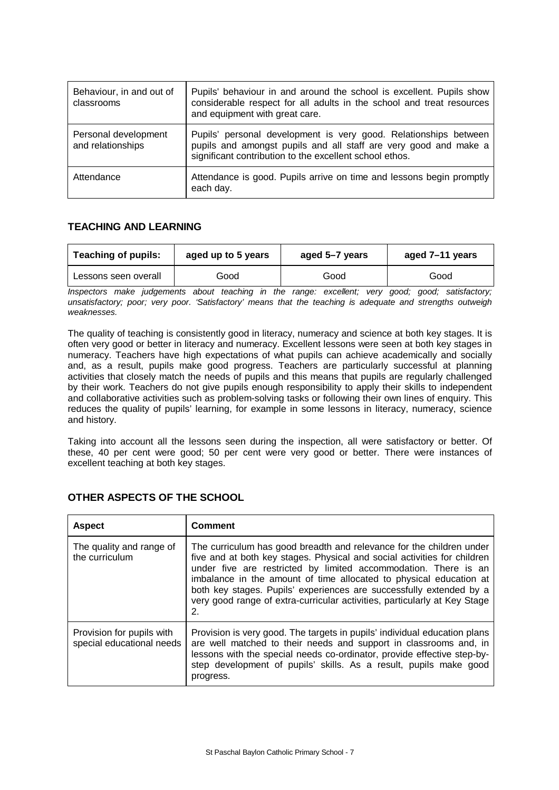| Behaviour, in and out of<br>classrooms    | Pupils' behaviour in and around the school is excellent. Pupils show<br>considerable respect for all adults in the school and treat resources<br>and equipment with great care.                 |
|-------------------------------------------|-------------------------------------------------------------------------------------------------------------------------------------------------------------------------------------------------|
| Personal development<br>and relationships | Pupils' personal development is very good. Relationships between<br>pupils and amongst pupils and all staff are very good and make a<br>significant contribution to the excellent school ethos. |
| Attendance                                | Attendance is good. Pupils arrive on time and lessons begin promptly<br>each day.                                                                                                               |

#### **TEACHING AND LEARNING**

| <b>Teaching of pupils:</b> | aged up to 5 years | aged 5-7 years | aged 7-11 years |  |
|----------------------------|--------------------|----------------|-----------------|--|
| Lessons seen overall       | Good               | Good           | Good            |  |

*Inspectors make judgements about teaching in the range: excellent; very good; good; satisfactory; unsatisfactory; poor; very poor. 'Satisfactory' means that the teaching is adequate and strengths outweigh weaknesses.*

The quality of teaching is consistently good in literacy, numeracy and science at both key stages. It is often very good or better in literacy and numeracy. Excellent lessons were seen at both key stages in numeracy. Teachers have high expectations of what pupils can achieve academically and socially and, as a result, pupils make good progress. Teachers are particularly successful at planning activities that closely match the needs of pupils and this means that pupils are regularly challenged by their work. Teachers do not give pupils enough responsibility to apply their skills to independent and collaborative activities such as problem-solving tasks or following their own lines of enquiry. This reduces the quality of pupils' learning, for example in some lessons in literacy, numeracy, science and history.

Taking into account all the lessons seen during the inspection, all were satisfactory or better. Of these, 40 per cent were good; 50 per cent were very good or better. There were instances of excellent teaching at both key stages.

| <b>Aspect</b>                                          | <b>Comment</b>                                                                                                                                                                                                                                                                                                                                                                                                                                      |
|--------------------------------------------------------|-----------------------------------------------------------------------------------------------------------------------------------------------------------------------------------------------------------------------------------------------------------------------------------------------------------------------------------------------------------------------------------------------------------------------------------------------------|
| The quality and range of<br>the curriculum             | The curriculum has good breadth and relevance for the children under<br>five and at both key stages. Physical and social activities for children<br>under five are restricted by limited accommodation. There is an<br>imbalance in the amount of time allocated to physical education at<br>both key stages. Pupils' experiences are successfully extended by a<br>very good range of extra-curricular activities, particularly at Key Stage<br>2. |
| Provision for pupils with<br>special educational needs | Provision is very good. The targets in pupils' individual education plans<br>are well matched to their needs and support in classrooms and, in<br>lessons with the special needs co-ordinator, provide effective step-by-<br>step development of pupils' skills. As a result, pupils make good<br>progress.                                                                                                                                         |

#### **OTHER ASPECTS OF THE SCHOOL**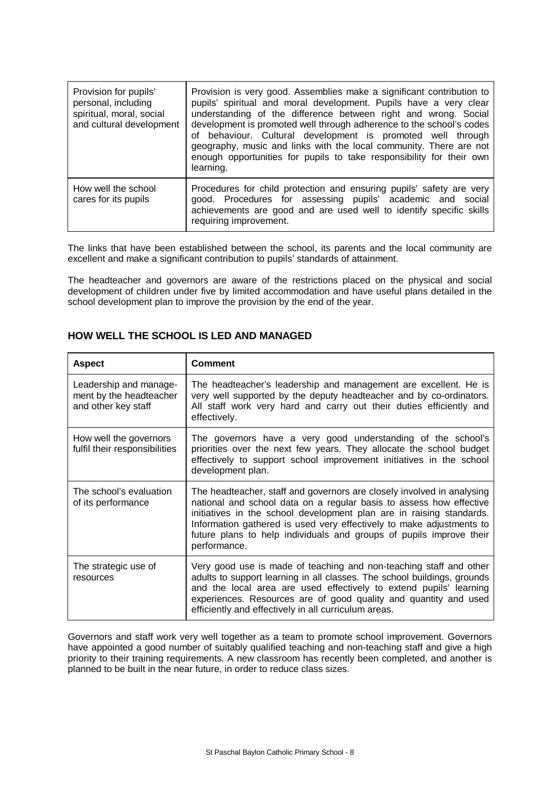| Provision for pupils'<br>personal, including<br>spiritual, moral, social<br>and cultural development | Provision is very good. Assemblies make a significant contribution to<br>pupils' spiritual and moral development. Pupils have a very clear<br>understanding of the difference between right and wrong. Social<br>development is promoted well through adherence to the school's codes<br>of behaviour. Cultural development is promoted well through<br>geography, music and links with the local community. There are not<br>enough opportunities for pupils to take responsibility for their own<br>learning. |
|------------------------------------------------------------------------------------------------------|-----------------------------------------------------------------------------------------------------------------------------------------------------------------------------------------------------------------------------------------------------------------------------------------------------------------------------------------------------------------------------------------------------------------------------------------------------------------------------------------------------------------|
| How well the school<br>cares for its pupils                                                          | Procedures for child protection and ensuring pupils' safety are very<br>good. Procedures for assessing pupils' academic and social<br>achievements are good and are used well to identify specific skills<br>requiring improvement.                                                                                                                                                                                                                                                                             |

The links that have been established between the school, its parents and the local community are excellent and make a significant contribution to pupils' standards of attainment.

The headteacher and governors are aware of the restrictions placed on the physical and social development of children under five by limited accommodation and have useful plans detailed in the school development plan to improve the provision by the end of the year.

| <b>Aspect</b>                                                            | <b>Comment</b>                                                                                                                                                                                                                                                                                                                                                                       |
|--------------------------------------------------------------------------|--------------------------------------------------------------------------------------------------------------------------------------------------------------------------------------------------------------------------------------------------------------------------------------------------------------------------------------------------------------------------------------|
| Leadership and manage-<br>ment by the headteacher<br>and other key staff | The headteacher's leadership and management are excellent. He is<br>very well supported by the deputy headteacher and by co-ordinators.<br>All staff work very hard and carry out their duties efficiently and<br>effectively.                                                                                                                                                       |
| How well the governors<br>fulfil their responsibilities                  | The governors have a very good understanding of the school's<br>priorities over the next few years. They allocate the school budget<br>effectively to support school improvement initiatives in the school<br>development plan.                                                                                                                                                      |
| The school's evaluation<br>of its performance                            | The headteacher, staff and governors are closely involved in analysing<br>national and school data on a regular basis to assess how effective<br>initiatives in the school development plan are in raising standards.<br>Information gathered is used very effectively to make adjustments to<br>future plans to help individuals and groups of pupils improve their<br>performance. |
| The strategic use of<br>resources                                        | Very good use is made of teaching and non-teaching staff and other<br>adults to support learning in all classes. The school buildings, grounds<br>and the local area are used effectively to extend pupils' learning<br>experiences. Resources are of good quality and quantity and used<br>efficiently and effectively in all curriculum areas.                                     |

#### **HOW WELL THE SCHOOL IS LED AND MANAGED**

Governors and staff work very well together as a team to promote school improvement. Governors have appointed a good number of suitably qualified teaching and non-teaching staff and give a high priority to their training requirements. A new classroom has recently been completed, and another is planned to be built in the near future, in order to reduce class sizes.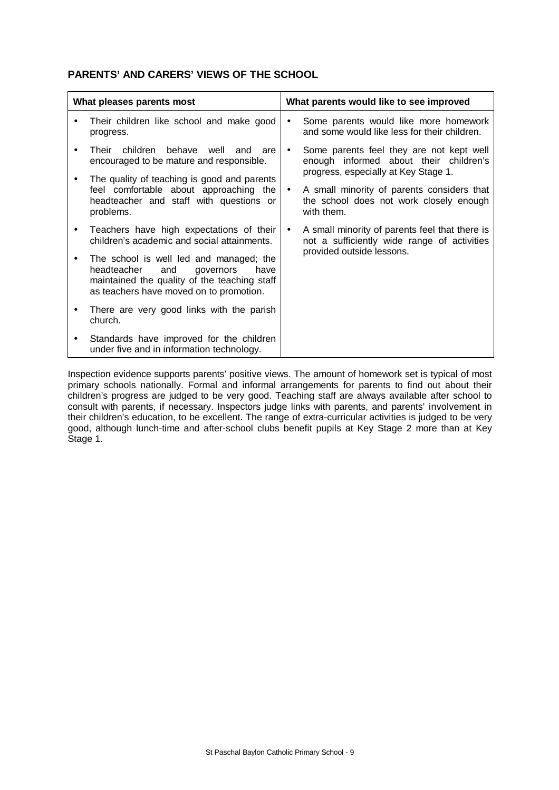### **PARENTS' AND CARERS' VIEWS OF THE SCHOOL**

| What pleases parents most |                                                                                                                                                                               |           | What parents would like to see improved                                                                                    |
|---------------------------|-------------------------------------------------------------------------------------------------------------------------------------------------------------------------------|-----------|----------------------------------------------------------------------------------------------------------------------------|
| ٠                         | Their children like school and make good<br>progress.                                                                                                                         | $\bullet$ | Some parents would like more homework<br>and some would like less for their children.                                      |
|                           | children behave well and are<br>Their<br>encouraged to be mature and responsible.                                                                                             | $\bullet$ | Some parents feel they are not kept well<br>enough informed about their children's<br>progress, especially at Key Stage 1. |
|                           | The quality of teaching is good and parents<br>feel comfortable about approaching the<br>headteacher and staff with questions or<br>problems.                                 | $\bullet$ | A small minority of parents considers that<br>the school does not work closely enough<br>with them.                        |
|                           | Teachers have high expectations of their<br>children's academic and social attainments.                                                                                       | $\bullet$ | A small minority of parents feel that there is<br>not a sufficiently wide range of activities                              |
|                           | The school is well led and managed; the<br>headteacher<br>and<br>governors<br>have<br>maintained the quality of the teaching staff<br>as teachers have moved on to promotion. |           | provided outside lessons.                                                                                                  |
|                           | There are very good links with the parish<br>church.                                                                                                                          |           |                                                                                                                            |
|                           | Standards have improved for the children<br>under five and in information technology.                                                                                         |           |                                                                                                                            |

Inspection evidence supports parents' positive views. The amount of homework set is typical of most primary schools nationally. Formal and informal arrangements for parents to find out about their children's progress are judged to be very good. Teaching staff are always available after school to consult with parents, if necessary. Inspectors judge links with parents, and parents' involvement in their children's education, to be excellent. The range of extra-curricular activities is judged to be very good, although lunch-time and after-school clubs benefit pupils at Key Stage 2 more than at Key Stage 1.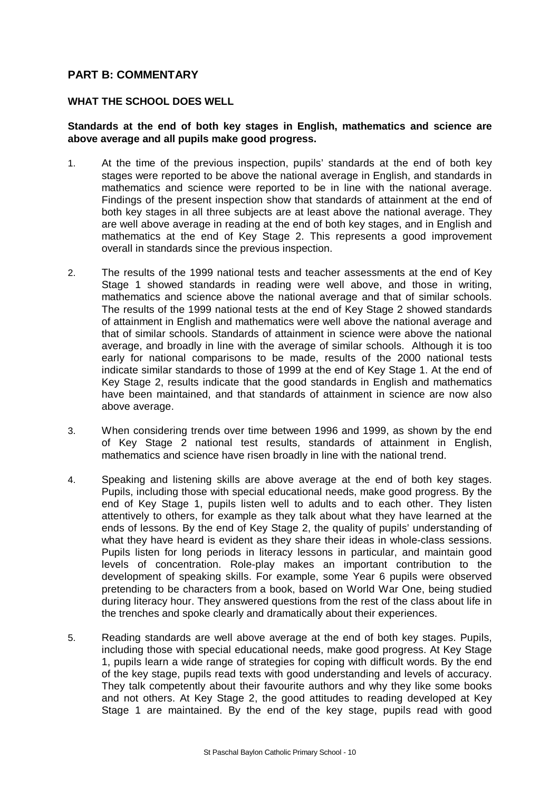### **PART B: COMMENTARY**

#### **WHAT THE SCHOOL DOES WELL**

#### **Standards at the end of both key stages in English, mathematics and science are above average and all pupils make good progress.**

- 1. At the time of the previous inspection, pupils' standards at the end of both key stages were reported to be above the national average in English, and standards in mathematics and science were reported to be in line with the national average. Findings of the present inspection show that standards of attainment at the end of both key stages in all three subjects are at least above the national average. They are well above average in reading at the end of both key stages, and in English and mathematics at the end of Key Stage 2. This represents a good improvement overall in standards since the previous inspection.
- 2. The results of the 1999 national tests and teacher assessments at the end of Key Stage 1 showed standards in reading were well above, and those in writing, mathematics and science above the national average and that of similar schools. The results of the 1999 national tests at the end of Key Stage 2 showed standards of attainment in English and mathematics were well above the national average and that of similar schools. Standards of attainment in science were above the national average, and broadly in line with the average of similar schools. Although it is too early for national comparisons to be made, results of the 2000 national tests indicate similar standards to those of 1999 at the end of Key Stage 1. At the end of Key Stage 2, results indicate that the good standards in English and mathematics have been maintained, and that standards of attainment in science are now also above average.
- 3. When considering trends over time between 1996 and 1999, as shown by the end of Key Stage 2 national test results, standards of attainment in English, mathematics and science have risen broadly in line with the national trend.
- 4. Speaking and listening skills are above average at the end of both key stages. Pupils, including those with special educational needs, make good progress. By the end of Key Stage 1, pupils listen well to adults and to each other. They listen attentively to others, for example as they talk about what they have learned at the ends of lessons. By the end of Key Stage 2, the quality of pupils' understanding of what they have heard is evident as they share their ideas in whole-class sessions. Pupils listen for long periods in literacy lessons in particular, and maintain good levels of concentration. Role-play makes an important contribution to the development of speaking skills. For example, some Year 6 pupils were observed pretending to be characters from a book, based on World War One, being studied during literacy hour. They answered questions from the rest of the class about life in the trenches and spoke clearly and dramatically about their experiences.
- 5. Reading standards are well above average at the end of both key stages. Pupils, including those with special educational needs, make good progress. At Key Stage 1, pupils learn a wide range of strategies for coping with difficult words. By the end of the key stage, pupils read texts with good understanding and levels of accuracy. They talk competently about their favourite authors and why they like some books and not others. At Key Stage 2, the good attitudes to reading developed at Key Stage 1 are maintained. By the end of the key stage, pupils read with good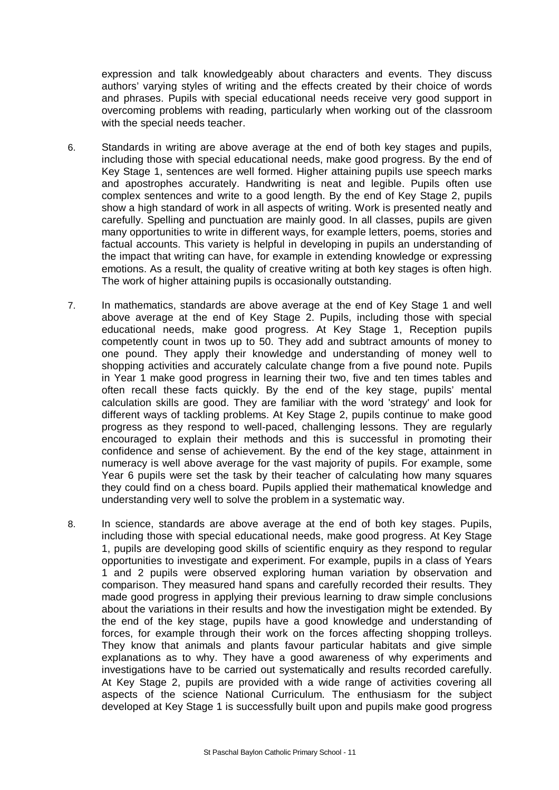expression and talk knowledgeably about characters and events. They discuss authors' varying styles of writing and the effects created by their choice of words and phrases. Pupils with special educational needs receive very good support in overcoming problems with reading, particularly when working out of the classroom with the special needs teacher.

- 6. Standards in writing are above average at the end of both key stages and pupils, including those with special educational needs, make good progress. By the end of Key Stage 1, sentences are well formed. Higher attaining pupils use speech marks and apostrophes accurately. Handwriting is neat and legible. Pupils often use complex sentences and write to a good length. By the end of Key Stage 2, pupils show a high standard of work in all aspects of writing. Work is presented neatly and carefully. Spelling and punctuation are mainly good. In all classes, pupils are given many opportunities to write in different ways, for example letters, poems, stories and factual accounts. This variety is helpful in developing in pupils an understanding of the impact that writing can have, for example in extending knowledge or expressing emotions. As a result, the quality of creative writing at both key stages is often high. The work of higher attaining pupils is occasionally outstanding.
- 7. In mathematics, standards are above average at the end of Key Stage 1 and well above average at the end of Key Stage 2. Pupils, including those with special educational needs, make good progress. At Key Stage 1, Reception pupils competently count in twos up to 50. They add and subtract amounts of money to one pound. They apply their knowledge and understanding of money well to shopping activities and accurately calculate change from a five pound note. Pupils in Year 1 make good progress in learning their two, five and ten times tables and often recall these facts quickly. By the end of the key stage, pupils' mental calculation skills are good. They are familiar with the word 'strategy' and look for different ways of tackling problems. At Key Stage 2, pupils continue to make good progress as they respond to well-paced, challenging lessons. They are regularly encouraged to explain their methods and this is successful in promoting their confidence and sense of achievement. By the end of the key stage, attainment in numeracy is well above average for the vast majority of pupils. For example, some Year 6 pupils were set the task by their teacher of calculating how many squares they could find on a chess board. Pupils applied their mathematical knowledge and understanding very well to solve the problem in a systematic way.
- 8. In science, standards are above average at the end of both key stages. Pupils, including those with special educational needs, make good progress. At Key Stage 1, pupils are developing good skills of scientific enquiry as they respond to regular opportunities to investigate and experiment. For example, pupils in a class of Years 1 and 2 pupils were observed exploring human variation by observation and comparison. They measured hand spans and carefully recorded their results. They made good progress in applying their previous learning to draw simple conclusions about the variations in their results and how the investigation might be extended. By the end of the key stage, pupils have a good knowledge and understanding of forces, for example through their work on the forces affecting shopping trolleys. They know that animals and plants favour particular habitats and give simple explanations as to why. They have a good awareness of why experiments and investigations have to be carried out systematically and results recorded carefully. At Key Stage 2, pupils are provided with a wide range of activities covering all aspects of the science National Curriculum. The enthusiasm for the subject developed at Key Stage 1 is successfully built upon and pupils make good progress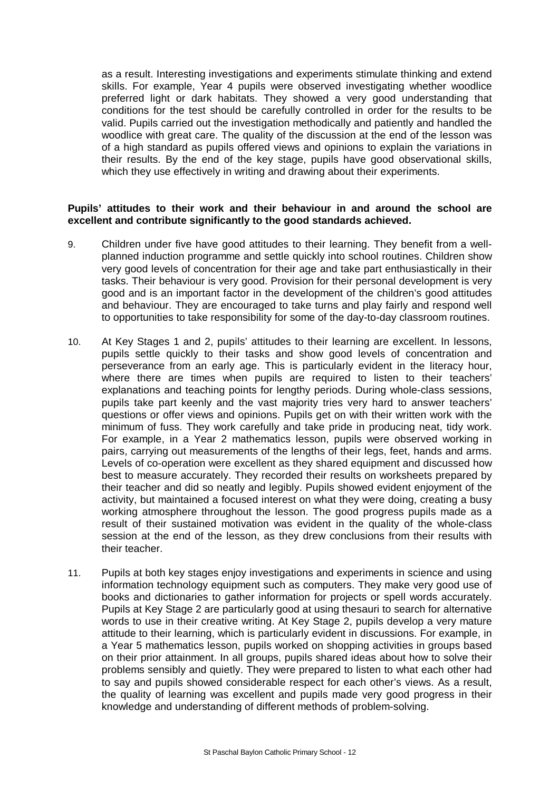as a result. Interesting investigations and experiments stimulate thinking and extend skills. For example, Year 4 pupils were observed investigating whether woodlice preferred light or dark habitats. They showed a very good understanding that conditions for the test should be carefully controlled in order for the results to be valid. Pupils carried out the investigation methodically and patiently and handled the woodlice with great care. The quality of the discussion at the end of the lesson was of a high standard as pupils offered views and opinions to explain the variations in their results. By the end of the key stage, pupils have good observational skills, which they use effectively in writing and drawing about their experiments.

#### **Pupils' attitudes to their work and their behaviour in and around the school are excellent and contribute significantly to the good standards achieved.**

- 9. Children under five have good attitudes to their learning. They benefit from a wellplanned induction programme and settle quickly into school routines. Children show very good levels of concentration for their age and take part enthusiastically in their tasks. Their behaviour is very good. Provision for their personal development is very good and is an important factor in the development of the children's good attitudes and behaviour. They are encouraged to take turns and play fairly and respond well to opportunities to take responsibility for some of the day-to-day classroom routines.
- 10. At Key Stages 1 and 2, pupils' attitudes to their learning are excellent. In lessons, pupils settle quickly to their tasks and show good levels of concentration and perseverance from an early age. This is particularly evident in the literacy hour, where there are times when pupils are required to listen to their teachers' explanations and teaching points for lengthy periods. During whole-class sessions, pupils take part keenly and the vast majority tries very hard to answer teachers' questions or offer views and opinions. Pupils get on with their written work with the minimum of fuss. They work carefully and take pride in producing neat, tidy work. For example, in a Year 2 mathematics lesson, pupils were observed working in pairs, carrying out measurements of the lengths of their legs, feet, hands and arms. Levels of co-operation were excellent as they shared equipment and discussed how best to measure accurately. They recorded their results on worksheets prepared by their teacher and did so neatly and legibly. Pupils showed evident enjoyment of the activity, but maintained a focused interest on what they were doing, creating a busy working atmosphere throughout the lesson. The good progress pupils made as a result of their sustained motivation was evident in the quality of the whole-class session at the end of the lesson, as they drew conclusions from their results with their teacher.
- 11. Pupils at both key stages enjoy investigations and experiments in science and using information technology equipment such as computers. They make very good use of books and dictionaries to gather information for projects or spell words accurately. Pupils at Key Stage 2 are particularly good at using thesauri to search for alternative words to use in their creative writing. At Key Stage 2, pupils develop a very mature attitude to their learning, which is particularly evident in discussions. For example, in a Year 5 mathematics lesson, pupils worked on shopping activities in groups based on their prior attainment. In all groups, pupils shared ideas about how to solve their problems sensibly and quietly. They were prepared to listen to what each other had to say and pupils showed considerable respect for each other's views. As a result, the quality of learning was excellent and pupils made very good progress in their knowledge and understanding of different methods of problem-solving.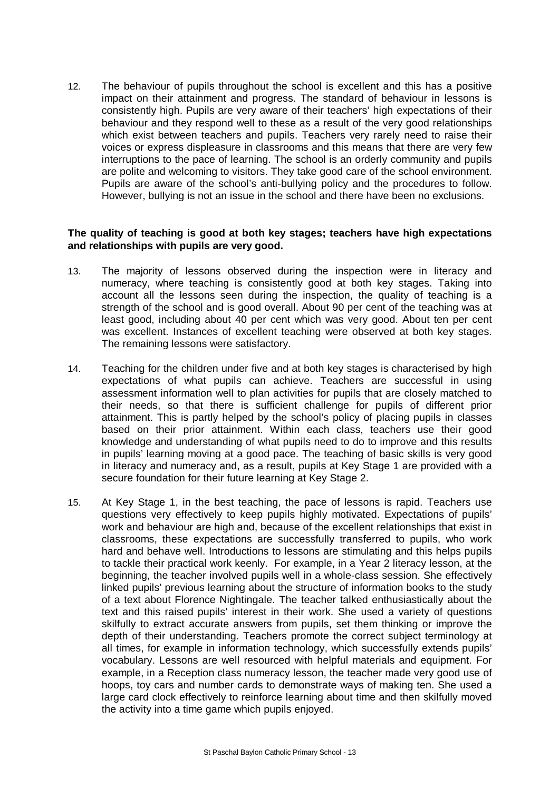12. The behaviour of pupils throughout the school is excellent and this has a positive impact on their attainment and progress. The standard of behaviour in lessons is consistently high. Pupils are very aware of their teachers' high expectations of their behaviour and they respond well to these as a result of the very good relationships which exist between teachers and pupils. Teachers very rarely need to raise their voices or express displeasure in classrooms and this means that there are very few interruptions to the pace of learning. The school is an orderly community and pupils are polite and welcoming to visitors. They take good care of the school environment. Pupils are aware of the school's anti-bullying policy and the procedures to follow. However, bullying is not an issue in the school and there have been no exclusions.

#### **The quality of teaching is good at both key stages; teachers have high expectations and relationships with pupils are very good.**

- 13. The majority of lessons observed during the inspection were in literacy and numeracy, where teaching is consistently good at both key stages. Taking into account all the lessons seen during the inspection, the quality of teaching is a strength of the school and is good overall. About 90 per cent of the teaching was at least good, including about 40 per cent which was very good. About ten per cent was excellent. Instances of excellent teaching were observed at both key stages. The remaining lessons were satisfactory.
- 14. Teaching for the children under five and at both key stages is characterised by high expectations of what pupils can achieve. Teachers are successful in using assessment information well to plan activities for pupils that are closely matched to their needs, so that there is sufficient challenge for pupils of different prior attainment. This is partly helped by the school's policy of placing pupils in classes based on their prior attainment. Within each class, teachers use their good knowledge and understanding of what pupils need to do to improve and this results in pupils' learning moving at a good pace. The teaching of basic skills is very good in literacy and numeracy and, as a result, pupils at Key Stage 1 are provided with a secure foundation for their future learning at Key Stage 2.
- 15. At Key Stage 1, in the best teaching, the pace of lessons is rapid. Teachers use questions very effectively to keep pupils highly motivated. Expectations of pupils' work and behaviour are high and, because of the excellent relationships that exist in classrooms, these expectations are successfully transferred to pupils, who work hard and behave well. Introductions to lessons are stimulating and this helps pupils to tackle their practical work keenly. For example, in a Year 2 literacy lesson, at the beginning, the teacher involved pupils well in a whole-class session. She effectively linked pupils' previous learning about the structure of information books to the study of a text about Florence Nightingale. The teacher talked enthusiastically about the text and this raised pupils' interest in their work. She used a variety of questions skilfully to extract accurate answers from pupils, set them thinking or improve the depth of their understanding. Teachers promote the correct subject terminology at all times, for example in information technology, which successfully extends pupils' vocabulary. Lessons are well resourced with helpful materials and equipment. For example, in a Reception class numeracy lesson, the teacher made very good use of hoops, toy cars and number cards to demonstrate ways of making ten. She used a large card clock effectively to reinforce learning about time and then skilfully moved the activity into a time game which pupils enjoyed.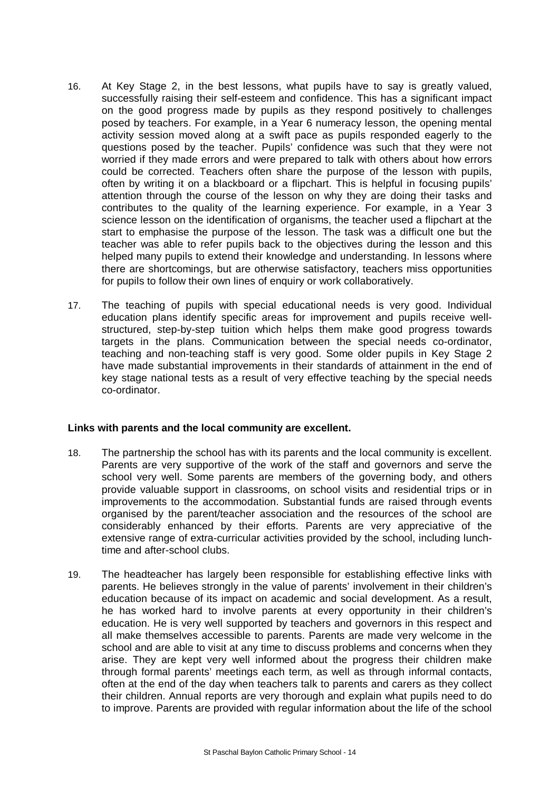- 16. At Key Stage 2, in the best lessons, what pupils have to say is greatly valued, successfully raising their self-esteem and confidence. This has a significant impact on the good progress made by pupils as they respond positively to challenges posed by teachers. For example, in a Year 6 numeracy lesson, the opening mental activity session moved along at a swift pace as pupils responded eagerly to the questions posed by the teacher. Pupils' confidence was such that they were not worried if they made errors and were prepared to talk with others about how errors could be corrected. Teachers often share the purpose of the lesson with pupils, often by writing it on a blackboard or a flipchart. This is helpful in focusing pupils' attention through the course of the lesson on why they are doing their tasks and contributes to the quality of the learning experience. For example, in a Year 3 science lesson on the identification of organisms, the teacher used a flipchart at the start to emphasise the purpose of the lesson. The task was a difficult one but the teacher was able to refer pupils back to the objectives during the lesson and this helped many pupils to extend their knowledge and understanding. In lessons where there are shortcomings, but are otherwise satisfactory, teachers miss opportunities for pupils to follow their own lines of enquiry or work collaboratively.
- 17. The teaching of pupils with special educational needs is very good. Individual education plans identify specific areas for improvement and pupils receive wellstructured, step-by-step tuition which helps them make good progress towards targets in the plans. Communication between the special needs co-ordinator, teaching and non-teaching staff is very good. Some older pupils in Key Stage 2 have made substantial improvements in their standards of attainment in the end of key stage national tests as a result of very effective teaching by the special needs co-ordinator.

#### **Links with parents and the local community are excellent.**

- 18. The partnership the school has with its parents and the local community is excellent. Parents are very supportive of the work of the staff and governors and serve the school very well. Some parents are members of the governing body, and others provide valuable support in classrooms, on school visits and residential trips or in improvements to the accommodation. Substantial funds are raised through events organised by the parent/teacher association and the resources of the school are considerably enhanced by their efforts. Parents are very appreciative of the extensive range of extra-curricular activities provided by the school, including lunchtime and after-school clubs.
- 19. The headteacher has largely been responsible for establishing effective links with parents. He believes strongly in the value of parents' involvement in their children's education because of its impact on academic and social development. As a result, he has worked hard to involve parents at every opportunity in their children's education. He is very well supported by teachers and governors in this respect and all make themselves accessible to parents. Parents are made very welcome in the school and are able to visit at any time to discuss problems and concerns when they arise. They are kept very well informed about the progress their children make through formal parents' meetings each term, as well as through informal contacts, often at the end of the day when teachers talk to parents and carers as they collect their children. Annual reports are very thorough and explain what pupils need to do to improve. Parents are provided with regular information about the life of the school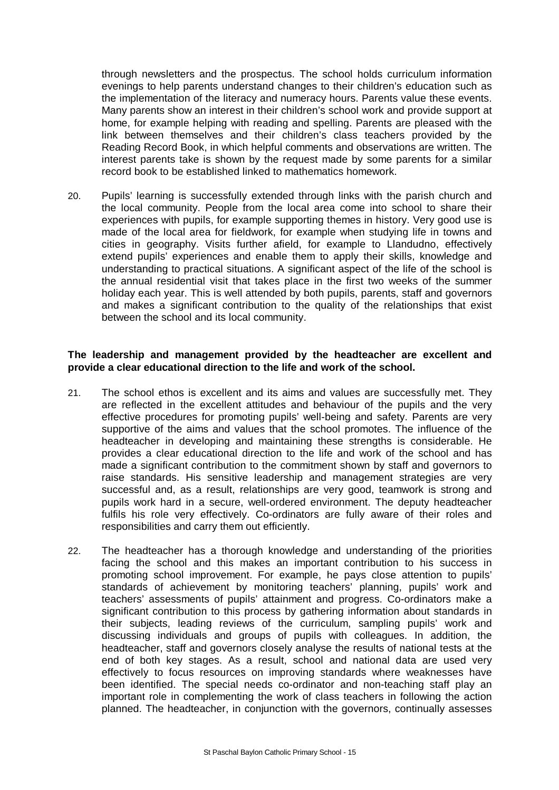through newsletters and the prospectus. The school holds curriculum information evenings to help parents understand changes to their children's education such as the implementation of the literacy and numeracy hours. Parents value these events. Many parents show an interest in their children's school work and provide support at home, for example helping with reading and spelling. Parents are pleased with the link between themselves and their children's class teachers provided by the Reading Record Book, in which helpful comments and observations are written. The interest parents take is shown by the request made by some parents for a similar record book to be established linked to mathematics homework.

20. Pupils' learning is successfully extended through links with the parish church and the local community. People from the local area come into school to share their experiences with pupils, for example supporting themes in history. Very good use is made of the local area for fieldwork, for example when studying life in towns and cities in geography. Visits further afield, for example to Llandudno, effectively extend pupils' experiences and enable them to apply their skills, knowledge and understanding to practical situations. A significant aspect of the life of the school is the annual residential visit that takes place in the first two weeks of the summer holiday each year. This is well attended by both pupils, parents, staff and governors and makes a significant contribution to the quality of the relationships that exist between the school and its local community.

#### **The leadership and management provided by the headteacher are excellent and provide a clear educational direction to the life and work of the school.**

- 21. The school ethos is excellent and its aims and values are successfully met. They are reflected in the excellent attitudes and behaviour of the pupils and the very effective procedures for promoting pupils' well-being and safety. Parents are very supportive of the aims and values that the school promotes. The influence of the headteacher in developing and maintaining these strengths is considerable. He provides a clear educational direction to the life and work of the school and has made a significant contribution to the commitment shown by staff and governors to raise standards. His sensitive leadership and management strategies are very successful and, as a result, relationships are very good, teamwork is strong and pupils work hard in a secure, well-ordered environment. The deputy headteacher fulfils his role very effectively. Co-ordinators are fully aware of their roles and responsibilities and carry them out efficiently.
- 22. The headteacher has a thorough knowledge and understanding of the priorities facing the school and this makes an important contribution to his success in promoting school improvement. For example, he pays close attention to pupils' standards of achievement by monitoring teachers' planning, pupils' work and teachers' assessments of pupils' attainment and progress. Co-ordinators make a significant contribution to this process by gathering information about standards in their subjects, leading reviews of the curriculum, sampling pupils' work and discussing individuals and groups of pupils with colleagues. In addition, the headteacher, staff and governors closely analyse the results of national tests at the end of both key stages. As a result, school and national data are used very effectively to focus resources on improving standards where weaknesses have been identified. The special needs co-ordinator and non-teaching staff play an important role in complementing the work of class teachers in following the action planned. The headteacher, in conjunction with the governors, continually assesses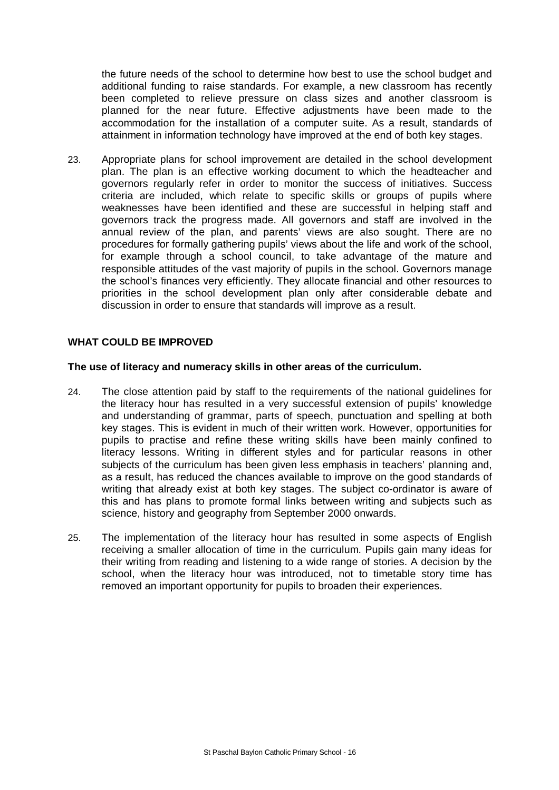the future needs of the school to determine how best to use the school budget and additional funding to raise standards. For example, a new classroom has recently been completed to relieve pressure on class sizes and another classroom is planned for the near future. Effective adjustments have been made to the accommodation for the installation of a computer suite. As a result, standards of attainment in information technology have improved at the end of both key stages.

23. Appropriate plans for school improvement are detailed in the school development plan. The plan is an effective working document to which the headteacher and governors regularly refer in order to monitor the success of initiatives. Success criteria are included, which relate to specific skills or groups of pupils where weaknesses have been identified and these are successful in helping staff and governors track the progress made. All governors and staff are involved in the annual review of the plan, and parents' views are also sought. There are no procedures for formally gathering pupils' views about the life and work of the school, for example through a school council, to take advantage of the mature and responsible attitudes of the vast majority of pupils in the school. Governors manage the school's finances very efficiently. They allocate financial and other resources to priorities in the school development plan only after considerable debate and discussion in order to ensure that standards will improve as a result.

### **WHAT COULD BE IMPROVED**

#### **The use of literacy and numeracy skills in other areas of the curriculum.**

- 24. The close attention paid by staff to the requirements of the national guidelines for the literacy hour has resulted in a very successful extension of pupils' knowledge and understanding of grammar, parts of speech, punctuation and spelling at both key stages. This is evident in much of their written work. However, opportunities for pupils to practise and refine these writing skills have been mainly confined to literacy lessons. Writing in different styles and for particular reasons in other subjects of the curriculum has been given less emphasis in teachers' planning and, as a result, has reduced the chances available to improve on the good standards of writing that already exist at both key stages. The subject co-ordinator is aware of this and has plans to promote formal links between writing and subjects such as science, history and geography from September 2000 onwards.
- 25. The implementation of the literacy hour has resulted in some aspects of English receiving a smaller allocation of time in the curriculum. Pupils gain many ideas for their writing from reading and listening to a wide range of stories. A decision by the school, when the literacy hour was introduced, not to timetable story time has removed an important opportunity for pupils to broaden their experiences.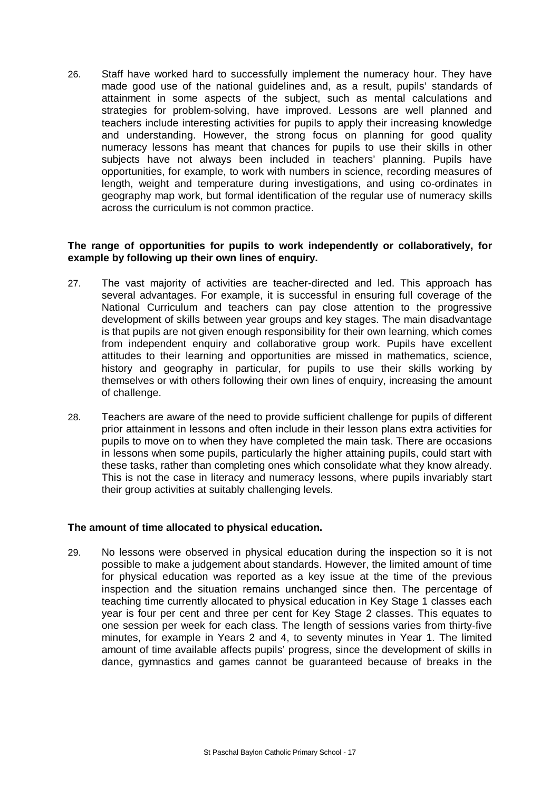26. Staff have worked hard to successfully implement the numeracy hour. They have made good use of the national guidelines and, as a result, pupils' standards of attainment in some aspects of the subject, such as mental calculations and strategies for problem-solving, have improved. Lessons are well planned and teachers include interesting activities for pupils to apply their increasing knowledge and understanding. However, the strong focus on planning for good quality numeracy lessons has meant that chances for pupils to use their skills in other subjects have not always been included in teachers' planning. Pupils have opportunities, for example, to work with numbers in science, recording measures of length, weight and temperature during investigations, and using co-ordinates in geography map work, but formal identification of the regular use of numeracy skills across the curriculum is not common practice.

#### **The range of opportunities for pupils to work independently or collaboratively, for example by following up their own lines of enquiry.**

- 27. The vast majority of activities are teacher-directed and led. This approach has several advantages. For example, it is successful in ensuring full coverage of the National Curriculum and teachers can pay close attention to the progressive development of skills between year groups and key stages. The main disadvantage is that pupils are not given enough responsibility for their own learning, which comes from independent enquiry and collaborative group work. Pupils have excellent attitudes to their learning and opportunities are missed in mathematics, science, history and geography in particular, for pupils to use their skills working by themselves or with others following their own lines of enquiry, increasing the amount of challenge.
- 28. Teachers are aware of the need to provide sufficient challenge for pupils of different prior attainment in lessons and often include in their lesson plans extra activities for pupils to move on to when they have completed the main task. There are occasions in lessons when some pupils, particularly the higher attaining pupils, could start with these tasks, rather than completing ones which consolidate what they know already. This is not the case in literacy and numeracy lessons, where pupils invariably start their group activities at suitably challenging levels.

#### **The amount of time allocated to physical education.**

29. No lessons were observed in physical education during the inspection so it is not possible to make a judgement about standards. However, the limited amount of time for physical education was reported as a key issue at the time of the previous inspection and the situation remains unchanged since then. The percentage of teaching time currently allocated to physical education in Key Stage 1 classes each year is four per cent and three per cent for Key Stage 2 classes. This equates to one session per week for each class. The length of sessions varies from thirty-five minutes, for example in Years 2 and 4, to seventy minutes in Year 1. The limited amount of time available affects pupils' progress, since the development of skills in dance, gymnastics and games cannot be guaranteed because of breaks in the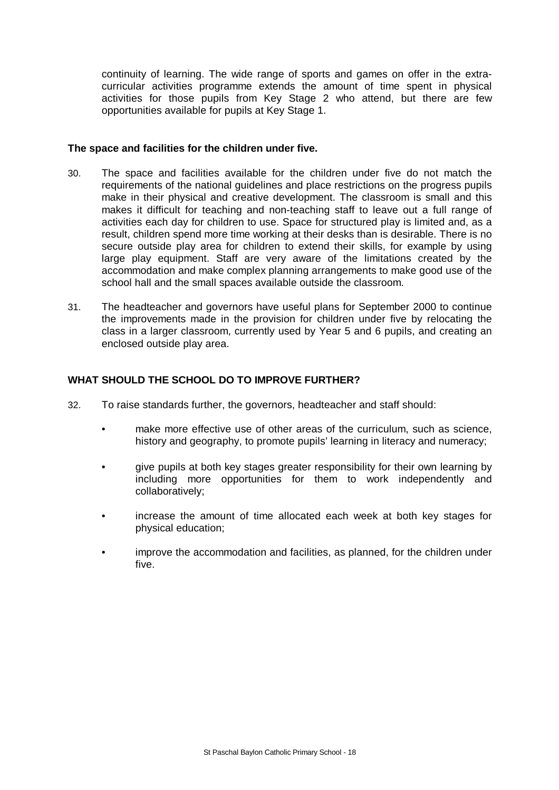continuity of learning. The wide range of sports and games on offer in the extracurricular activities programme extends the amount of time spent in physical activities for those pupils from Key Stage 2 who attend, but there are few opportunities available for pupils at Key Stage 1.

#### **The space and facilities for the children under five.**

- 30. The space and facilities available for the children under five do not match the requirements of the national guidelines and place restrictions on the progress pupils make in their physical and creative development. The classroom is small and this makes it difficult for teaching and non-teaching staff to leave out a full range of activities each day for children to use. Space for structured play is limited and, as a result, children spend more time working at their desks than is desirable. There is no secure outside play area for children to extend their skills, for example by using large play equipment. Staff are very aware of the limitations created by the accommodation and make complex planning arrangements to make good use of the school hall and the small spaces available outside the classroom.
- 31. The headteacher and governors have useful plans for September 2000 to continue the improvements made in the provision for children under five by relocating the class in a larger classroom, currently used by Year 5 and 6 pupils, and creating an enclosed outside play area.

#### **WHAT SHOULD THE SCHOOL DO TO IMPROVE FURTHER?**

- 32. To raise standards further, the governors, headteacher and staff should:
	- make more effective use of other areas of the curriculum, such as science, history and geography, to promote pupils' learning in literacy and numeracy;
	- give pupils at both key stages greater responsibility for their own learning by including more opportunities for them to work independently and collaboratively;
	- increase the amount of time allocated each week at both key stages for physical education;
	- improve the accommodation and facilities, as planned, for the children under five.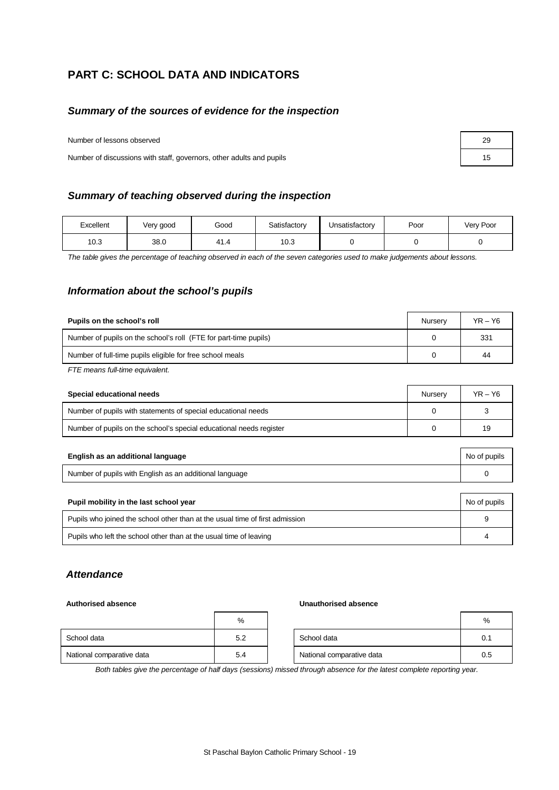## **PART C: SCHOOL DATA AND INDICATORS**

#### *Summary of the sources of evidence for the inspection*

Number of lessons observed

Number of discussions with staff, governors, other adults and pupils

#### *Summary of teaching observed during the inspection*

| Excellent | Very good | Good | Satisfactory | Unsatisfactory | Poor | Very Poor |
|-----------|-----------|------|--------------|----------------|------|-----------|
| 10.3      | 38.0      | 41.4 | 0.3          |                |      |           |

*The table gives the percentage of teaching observed in each of the seven categories used to make judgements about lessons.*

#### *Information about the school's pupils*

| Pupils on the school's roll                                      | Nurserv | $YR - Y6$ |
|------------------------------------------------------------------|---------|-----------|
| Number of pupils on the school's roll (FTE for part-time pupils) |         | 331       |
| Number of full-time pupils eligible for free school meals        |         | 44        |
| $\sim$ $\sim$                                                    |         |           |

*FTE means full-time equivalent.*

| Special educational needs                                           | Nurserv | $YR - Y6$ |
|---------------------------------------------------------------------|---------|-----------|
| Number of pupils with statements of special educational needs       |         |           |
| Number of pupils on the school's special educational needs register |         | 19        |

| English as an additional language                       | No of pupils |
|---------------------------------------------------------|--------------|
| Number of pupils with English as an additional language |              |

| Pupil mobility in the last school year                                       | No of pupils |
|------------------------------------------------------------------------------|--------------|
| Pupils who joined the school other than at the usual time of first admission | 9            |
| Pupils who left the school other than at the usual time of leaving           |              |

#### *Attendance*

#### **Authorised absence Unauthorised absence**

|                           | %   |                           | %   |
|---------------------------|-----|---------------------------|-----|
| School data               | 5.2 | School data               | 0.1 |
| National comparative data | 5.4 | National comparative data | 0.5 |

*Both tables give the percentage of half days (sessions) missed through absence for the latest complete reporting year.*

| 29 |  |
|----|--|
| 15 |  |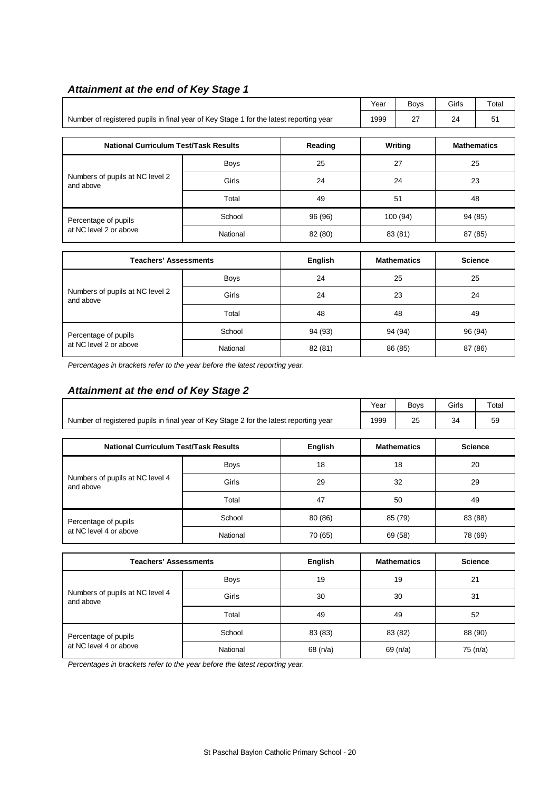## *Attainment at the end of Key Stage 1*

|                                                                                        |             |         |          | <b>Boys</b> | Girls              | Total |  |
|----------------------------------------------------------------------------------------|-------------|---------|----------|-------------|--------------------|-------|--|
| Number of registered pupils in final year of Key Stage 1 for the latest reporting year |             |         | 1999     | 27          | 24                 | 51    |  |
|                                                                                        |             |         |          |             |                    |       |  |
| Reading<br><b>National Curriculum Test/Task Results</b>                                |             |         |          | Writing     | <b>Mathematics</b> |       |  |
|                                                                                        | <b>Boys</b> | 25      | 27<br>25 |             |                    |       |  |
| Numbers of pupils at NC level 2<br>and above                                           | Girls       | 24      |          | 24          |                    | 23    |  |
|                                                                                        | Total       | 49      |          | 51          |                    | 48    |  |
| Percentage of pupils                                                                   | School      | 96 (96) |          | 100 (94)    | 94 (85)            |       |  |
| at NC level 2 or above                                                                 | National    | 82 (80) |          | 83 (81)     | 87 (85)            |       |  |
|                                                                                        |             |         |          |             |                    |       |  |

| Teachers' Assessments                        |             | <b>English</b> | <b>Mathematics</b> | <b>Science</b> |
|----------------------------------------------|-------------|----------------|--------------------|----------------|
|                                              | <b>Boys</b> | 24             | 25                 | 25             |
| Numbers of pupils at NC level 2<br>and above | Girls       | 24             | 23                 | 24             |
|                                              | Total       | 48             | 48                 | 49             |
| Percentage of pupils                         | School      | 94 (93)        | 94 (94)            | 96 (94)        |
| at NC level 2 or above                       | National    | 82 (81)        | 86 (85)            | 87 (86)        |

*Percentages in brackets refer to the year before the latest reporting year.*

## *Attainment at the end of Key Stage 2*

|                                                                                        | Year | <b>Bovs</b> | Girls | Total |
|----------------------------------------------------------------------------------------|------|-------------|-------|-------|
| Number of registered pupils in final year of Key Stage 2 for the latest reporting year | 1999 | 25          | 34    | 59    |

| <b>National Curriculum Test/Task Results</b>   |             | English | <b>Mathematics</b> | <b>Science</b> |
|------------------------------------------------|-------------|---------|--------------------|----------------|
| Numbers of pupils at NC level 4<br>and above   | <b>Boys</b> | 18      | 18                 | 20             |
|                                                | Girls       | 29      | 32                 | 29             |
|                                                | Total       | 47      | 50                 | 49             |
| Percentage of pupils<br>at NC level 4 or above | School      | 80 (86) | 85 (79)            | 83 (88)        |
|                                                | National    | 70 (65) | 69 (58)            | 78 (69)        |

| <b>Teachers' Assessments</b>                 |             | <b>English</b> | <b>Mathematics</b> | <b>Science</b> |
|----------------------------------------------|-------------|----------------|--------------------|----------------|
|                                              | <b>Boys</b> | 19             | 19                 | 21             |
| Numbers of pupils at NC level 4<br>and above | Girls       | 30             | 30                 | 31             |
|                                              | Total       | 49             | 49                 | 52             |
| Percentage of pupils                         | School      | 83 (83)        | 83 (82)            | 88 (90)        |
| at NC level 4 or above                       | National    | 68 $(n/a)$     | 69 (n/a)           | 75 (n/a)       |

*Percentages in brackets refer to the year before the latest reporting year.*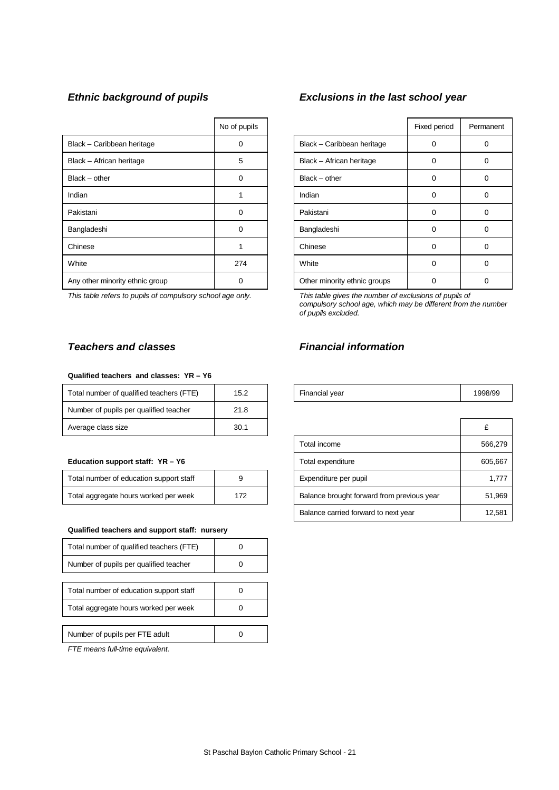|                                 | No of pupils |                              | Fixed period | Perma |
|---------------------------------|--------------|------------------------------|--------------|-------|
| Black - Caribbean heritage      | 0            | Black - Caribbean heritage   | 0            | 0     |
| Black - African heritage        | 5            | Black - African heritage     | 0            | 0     |
| $Black - other$                 | $\Omega$     | $Black - other$              | 0            | 0     |
| Indian                          |              | Indian                       | 0            | 0     |
| Pakistani                       | $\Omega$     | Pakistani                    | 0            | 0     |
| Bangladeshi                     | $\Omega$     | Bangladeshi                  | 0            | 0     |
| Chinese                         |              | Chinese                      | 0            | 0     |
| White                           | 274          | White                        | 0            | 0     |
| Any other minority ethnic group | 0            | Other minority ethnic groups | 0            | 0     |

 $\overline{\phantom{a}}$ 

*This table refers to pupils of compulsory school age only. This table gives the number of exclusions of pupils of*

#### **Qualified teachers and classes: YR – Y6**

| Total number of qualified teachers (FTE) | 15.2 | Financial year | 1998 |
|------------------------------------------|------|----------------|------|
| Number of pupils per qualified teacher   | 21.8 |                |      |
| Average class size                       | 30.1 |                |      |

#### **Education support staff: YR - Y6**

| Total number of education support staff |     |
|-----------------------------------------|-----|
| Total aggregate hours worked per week   | 172 |

#### **Qualified teachers and support staff: nursery**

| Total number of qualified teachers (FTE) |  |
|------------------------------------------|--|
| Number of pupils per qualified teacher   |  |
|                                          |  |
| Total number of education support staff  |  |
| Total aggregate hours worked per week    |  |
|                                          |  |
| Number of pupils per FTE adult           |  |

*FTE means full-time equivalent.*

#### *Ethnic background of pupils Exclusions in the last school year*

| No of pupils |                              | Fixed period | Permanent |
|--------------|------------------------------|--------------|-----------|
| O            | Black - Caribbean heritage   |              |           |
| 5            | Black - African heritage     | ∩            |           |
| 0            | $Black - other$              | 0            | O         |
|              | Indian                       | 0            | 0         |
| 0            | Pakistani                    | 0            | 0         |
| 0            | Bangladeshi                  | 0            | 0         |
|              | Chinese                      | $\Omega$     | O         |
| 274          | White                        | $\Omega$     | 0         |
|              | Other minority ethnic groups |              |           |

*compulsory school age, which may be different from the number of pupils excluded.*

### *Teachers and classes Financial information*

| <br>، Total number<br>∵of qualified teachers⊣<br>$\sqrt{2}$<br>'⊢<br>-- | $\sim$<br>℩ϧ<br>ے. ب<br>____ |  | <b>Financial vear</b> | QQR/QC |
|-------------------------------------------------------------------------|------------------------------|--|-----------------------|--------|
|-------------------------------------------------------------------------|------------------------------|--|-----------------------|--------|

| Average class size                           | 30.1 |                                            | £       |
|----------------------------------------------|------|--------------------------------------------|---------|
|                                              |      | Total income                               | 566,279 |
| Education support staff: YR - Y6             |      | Total expenditure                          | 605,667 |
| Total number of education support staff      | 9    | Expenditure per pupil                      | 1.777   |
| Total aggregate hours worked per week<br>172 |      | Balance brought forward from previous year | 51,969  |
|                                              |      | Balance carried forward to next year       | 12,581  |